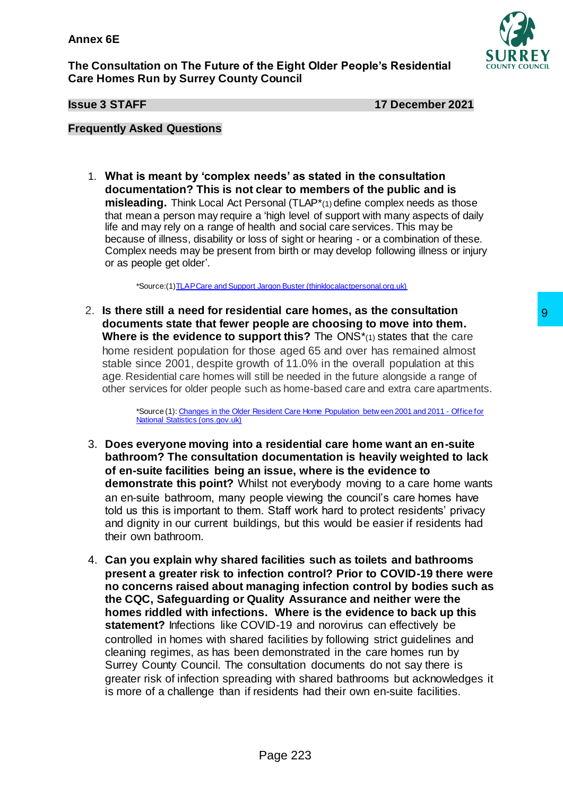**The Consultation on The Future of the Eight Older People's Residential Care Homes Run by Surrey County Council**



**Issue 3 STAFF** 17 December 2021

## **Frequently Asked Questions**

1. **What is meant by 'complex needs' as stated in the consultation documentation? This is not clear to members of the public and is misleading.** Think Local Act Personal (TLAP\*(1) define complex needs as those that mean a person may require a 'high level of support with many aspects of daily life and may rely on a range of health and social care services. This may be because of illness, disability or loss of sight or hearing - or a combination of these. Complex needs may be present from birth or may develop following illness or injury or as people get older'.

\*Source:([1\)TLAP Care and Support Jargon Buster \(thinklocalactpersonal.org.uk\)](https://www.thinklocalactpersonal.org.uk/Browse/Informationandadvice/CareandSupportJargonBuster/#Complex%20needs)

2. **Is there still a need for residential care homes, as the consultation documents state that fewer people are choosing to move into them. Where is the evidence to support this?** The ONS<sup>\*</sup>(1) states that the care home resident population for those aged 65 and over has remained almost stable since 2001, despite growth of 11.0% in the overall population at this age. Residential care homes will still be needed in the future alongside a range of other services for older people such as home-based care and extra care apartments.

> \*Source (1)[: Changes in the Older Resident Care Home Population betw een 2001 and 2011 -](https://www.ons.gov.uk/peoplepopulationandcommunity/birthsdeathsandmarriages/ageing/articles/changesintheolderresidentcarehomepopulationbetween2001and2011/2014-08-01) Office for [National Statistics \(ons.gov.uk\)](https://www.ons.gov.uk/peoplepopulationandcommunity/birthsdeathsandmarriages/ageing/articles/changesintheolderresidentcarehomepopulationbetween2001and2011/2014-08-01)

- 3. **Does everyone moving into a residential care home want an en-suite bathroom? The consultation documentation is heavily weighted to lack of en-suite facilities being an issue, where is the evidence to demonstrate this point?** Whilst not everybody moving to a care home wants an en-suite bathroom, many people viewing the council's care homes have told us this is important to them. Staff work hard to protect residents' privacy and dignity in our current buildings, but this would be easier if residents had their own bathroom.
- 4. **Can you explain why shared facilities such as toilets and bathrooms present a greater risk to infection control? Prior to COVID-19 there were no concerns raised about managing infection control by bodies such as the CQC, Safeguarding or Quality Assurance and neither were the homes riddled with infections. Where is the evidence to back up this statement?** Infections like COVID-19 and norovirus can effectively be controlled in homes with shared facilities by following strict guidelines and cleaning regimes, as has been demonstrated in the care homes run by Surrey County Council. The consultation documents do not say there is greater risk of infection spreading with shared bathrooms but acknowledges it is more of a challenge than if residents had their own en-suite facilities. that care homes, as the consultration<br>
exple are choosing to move into them.<br>
exple are choosing to move into them.<br>
port this? The ONS<sup>\*</sup>(r) states that the care<br>
showed 65 and over has remained almost<br>
the of 11.0% in t